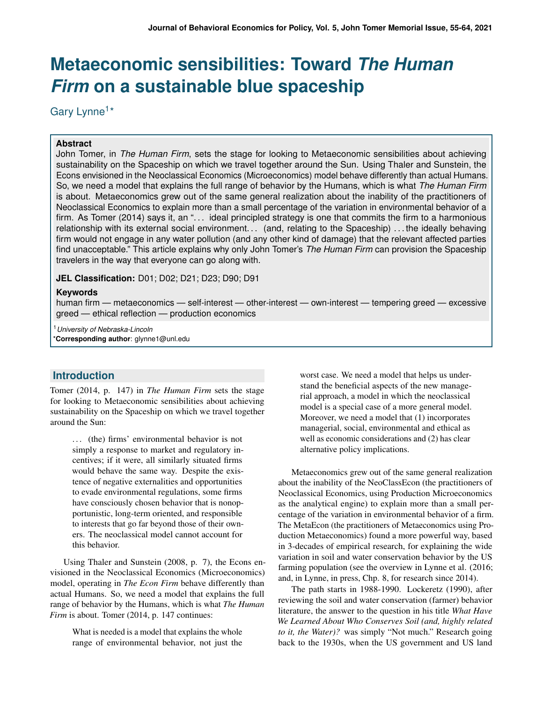# **Metaeconomic sensibilities: Toward** *The Human Firm* **on a sustainable blue spaceship**

Gary Lynne<sup>1\*</sup>

### **Abstract**

John Tomer, in *The Human Firm*, sets the stage for looking to Metaeconomic sensibilities about achieving sustainability on the Spaceship on which we travel together around the Sun. Using Thaler and Sunstein, the Econs envisioned in the Neoclassical Economics (Microeconomics) model behave differently than actual Humans. So, we need a model that explains the full range of behavior by the Humans, which is what *The Human Firm* is about. Metaeconomics grew out of the same general realization about the inability of the practitioners of Neoclassical Economics to explain more than a small percentage of the variation in environmental behavior of a firm. As Tomer (2014) says it, an "... ideal principled strategy is one that commits the firm to a harmonious relationship with its external social environment. . . (and, relating to the Spaceship) . . . the ideally behaving firm would not engage in any water pollution (and any other kind of damage) that the relevant affected parties find unacceptable." This article explains why only John Tomer's *The Human Firm* can provision the Spaceship travelers in the way that everyone can go along with.

**JEL Classification:** D01; D02; D21; D23; D90; D91

#### **Keywords**

human firm — metaeconomics — self-interest — other-interest — own-interest — tempering greed — excessive greed — ethical reflection — production economics

<sup>1</sup>*University of Nebraska-Lincoln* \***Corresponding author**: glynne1@unl.edu

### **Introduction**

Tomer (2014, p. 147) in *The Human Firm* sets the stage for looking to Metaeconomic sensibilities about achieving sustainability on the Spaceship on which we travel together around the Sun:

> . . . (the) firms' environmental behavior is not simply a response to market and regulatory incentives; if it were, all similarly situated firms would behave the same way. Despite the existence of negative externalities and opportunities to evade environmental regulations, some firms have consciously chosen behavior that is nonopportunistic, long-term oriented, and responsible to interests that go far beyond those of their owners. The neoclassical model cannot account for this behavior.

Using Thaler and Sunstein (2008, p. 7), the Econs envisioned in the Neoclassical Economics (Microeconomics) model, operating in *The Econ Firm* behave differently than actual Humans. So, we need a model that explains the full range of behavior by the Humans, which is what *The Human Firm* is about. Tomer (2014, p. 147 continues:

> What is needed is a model that explains the whole range of environmental behavior, not just the

worst case. We need a model that helps us understand the beneficial aspects of the new managerial approach, a model in which the neoclassical model is a special case of a more general model. Moreover, we need a model that (1) incorporates managerial, social, environmental and ethical as well as economic considerations and (2) has clear alternative policy implications.

Metaeconomics grew out of the same general realization about the inability of the NeoClassEcon (the practitioners of Neoclassical Economics, using Production Microeconomics as the analytical engine) to explain more than a small percentage of the variation in environmental behavior of a firm. The MetaEcon (the practitioners of Metaeconomics using Production Metaeconomics) found a more powerful way, based in 3-decades of empirical research, for explaining the wide variation in soil and water conservation behavior by the US farming population (see the overview in Lynne et al. (2016; and, in Lynne, in press, Chp. 8, for research since 2014).

The path starts in 1988-1990. Lockeretz (1990), after reviewing the soil and water conservation (farmer) behavior literature, the answer to the question in his title *What Have We Learned About Who Conserves Soil (and, highly related to it, the Water)?* was simply "Not much." Research going back to the 1930s, when the US government and US land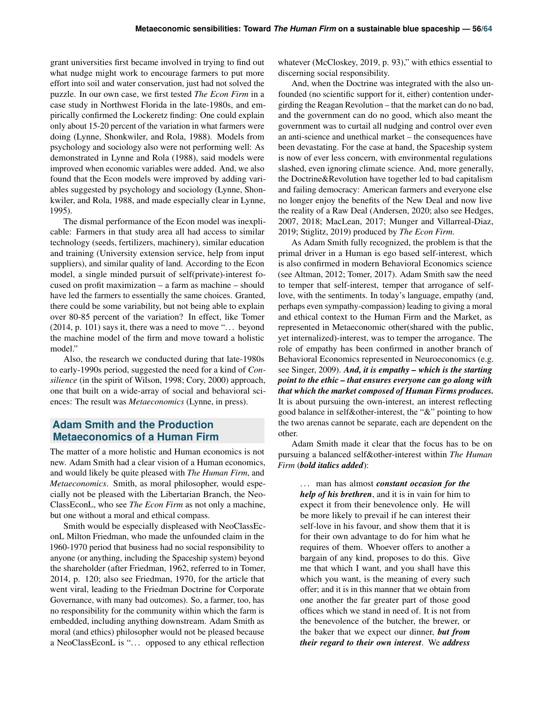grant universities first became involved in trying to find out what nudge might work to encourage farmers to put more effort into soil and water conservation, just had not solved the puzzle. In our own case, we first tested *The Econ Firm* in a case study in Northwest Florida in the late-1980s, and empirically confirmed the Lockeretz finding: One could explain only about 15-20 percent of the variation in what farmers were doing (Lynne, Shonkwiler, and Rola, 1988). Models from psychology and sociology also were not performing well: As demonstrated in Lynne and Rola (1988), said models were improved when economic variables were added. And, we also found that the Econ models were improved by adding variables suggested by psychology and sociology (Lynne, Shonkwiler, and Rola, 1988, and made especially clear in Lynne, 1995).

The dismal performance of the Econ model was inexplicable: Farmers in that study area all had access to similar technology (seeds, fertilizers, machinery), similar education and training (University extension service, help from input suppliers), and similar quality of land. According to the Econ model, a single minded pursuit of self(private)-interest focused on profit maximization – a farm as machine – should have led the farmers to essentially the same choices. Granted, there could be some variability, but not being able to explain over 80-85 percent of the variation? In effect, like Tomer (2014, p. 101) says it, there was a need to move ". . . beyond the machine model of the firm and move toward a holistic model."

Also, the research we conducted during that late-1980s to early-1990s period, suggested the need for a kind of *Consilience* (in the spirit of Wilson, 1998; Cory, 2000) approach, one that built on a wide-array of social and behavioral sciences: The result was *Metaeconomics* (Lynne, in press).

# **Adam Smith and the Production Metaeconomics of a Human Firm**

The matter of a more holistic and Human economics is not new. Adam Smith had a clear vision of a Human economics, and would likely be quite pleased with *The Human Firm*, and *Metaeconomics*. Smith, as moral philosopher, would especially not be pleased with the Libertarian Branch, the Neo-ClassEconL, who see *The Econ Firm* as not only a machine, but one without a moral and ethical compass.

Smith would be especially displeased with NeoClassEconL Milton Friedman, who made the unfounded claim in the 1960-1970 period that business had no social responsibility to anyone (or anything, including the Spaceship system) beyond the shareholder (after Friedman, 1962, referred to in Tomer, 2014, p. 120; also see Friedman, 1970, for the article that went viral, leading to the Friedman Doctrine for Corporate Governance, with many bad outcomes). So, a farmer, too, has no responsibility for the community within which the farm is embedded, including anything downstream. Adam Smith as moral (and ethics) philosopher would not be pleased because a NeoClassEconL is "... opposed to any ethical reflection

whatever (McCloskey, 2019, p. 93)," with ethics essential to discerning social responsibility.

And, when the Doctrine was integrated with the also unfounded (no scientific support for it, either) contention undergirding the Reagan Revolution – that the market can do no bad, and the government can do no good, which also meant the government was to curtail all nudging and control over even an anti-science and unethical market – the consequences have been devastating. For the case at hand, the Spaceship system is now of ever less concern, with environmental regulations slashed, even ignoring climate science. And, more generally, the Doctrine&Revolution have together led to bad capitalism and failing democracy: American farmers and everyone else no longer enjoy the benefits of the New Deal and now live the reality of a Raw Deal (Andersen, 2020; also see Hedges, 2007, 2018; MacLean, 2017; Munger and Villarreal-Diaz, 2019; Stiglitz, 2019) produced by *The Econ Firm*.

As Adam Smith fully recognized, the problem is that the primal driver in a Human is ego based self-interest, which is also confirmed in modern Behavioral Economics science (see Altman, 2012; Tomer, 2017). Adam Smith saw the need to temper that self-interest, temper that arrogance of selflove, with the sentiments. In today's language, empathy (and, perhaps even sympathy-compassion) leading to giving a moral and ethical context to the Human Firm and the Market, as represented in Metaeconomic other(shared with the public, yet internalized)-interest, was to temper the arrogance. The role of empathy has been confirmed in another branch of Behavioral Economics represented in Neuroeconomics (e.g. see Singer, 2009). *And, it is empathy – which is the starting point to the ethic – that ensures everyone can go along with that which the market composed of Human Firms produces.* It is about pursuing the own-interest, an interest reflecting good balance in self&other-interest, the "&" pointing to how the two arenas cannot be separate, each are dependent on the other.

Adam Smith made it clear that the focus has to be on pursuing a balanced self&other-interest within *The Human Firm* (*bold italics added*):

> . . . man has almost *constant occasion for the help of his brethren*, and it is in vain for him to expect it from their benevolence only. He will be more likely to prevail if he can interest their self-love in his favour, and show them that it is for their own advantage to do for him what he requires of them. Whoever offers to another a bargain of any kind, proposes to do this. Give me that which I want, and you shall have this which you want, is the meaning of every such offer; and it is in this manner that we obtain from one another the far greater part of those good offices which we stand in need of. It is not from the benevolence of the butcher, the brewer, or the baker that we expect our dinner, *but from their regard to their own interest*. We *address*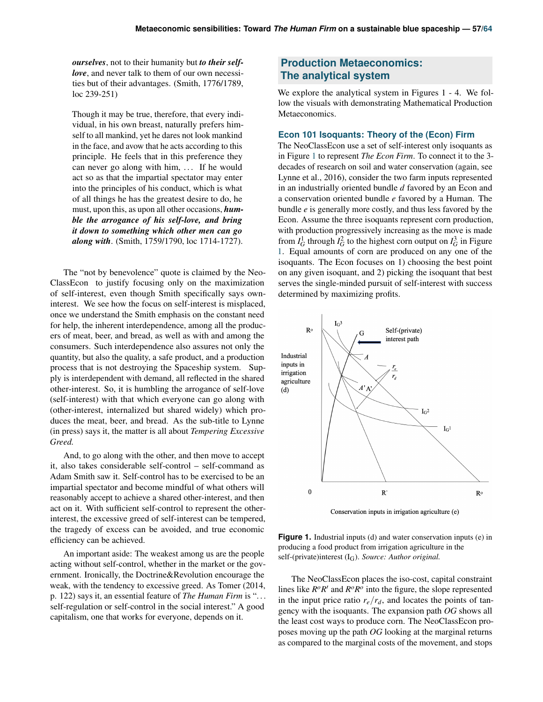*ourselves*, not to their humanity but *to their selflove*, and never talk to them of our own necessities but of their advantages. (Smith, 1776/1789, loc 239-251)

Though it may be true, therefore, that every individual, in his own breast, naturally prefers himself to all mankind, yet he dares not look mankind in the face, and avow that he acts according to this principle. He feels that in this preference they can never go along with him, ... If he would act so as that the impartial spectator may enter into the principles of his conduct, which is what of all things he has the greatest desire to do, he must, upon this, as upon all other occasions, *humble the arrogance of his self-love, and bring it down to something which other men can go along with*. (Smith, 1759/1790, loc 1714-1727).

The "not by benevolence" quote is claimed by the Neo-ClassEcon to justify focusing only on the maximization of self-interest, even though Smith specifically says owninterest. We see how the focus on self-interest is misplaced, once we understand the Smith emphasis on the constant need for help, the inherent interdependence, among all the producers of meat, beer, and bread, as well as with and among the consumers. Such interdependence also assures not only the quantity, but also the quality, a safe product, and a production process that is not destroying the Spaceship system. Supply is interdependent with demand, all reflected in the shared other-interest. So, it is humbling the arrogance of self-love (self-interest) with that which everyone can go along with (other-interest, internalized but shared widely) which produces the meat, beer, and bread. As the sub-title to Lynne (in press) says it, the matter is all about *Tempering Excessive Greed.*

And, to go along with the other, and then move to accept it, also takes considerable self-control – self-command as Adam Smith saw it. Self-control has to be exercised to be an impartial spectator and become mindful of what others will reasonably accept to achieve a shared other-interest, and then act on it. With sufficient self-control to represent the otherinterest, the excessive greed of self-interest can be tempered, the tragedy of excess can be avoided, and true economic efficiency can be achieved.

An important aside: The weakest among us are the people acting without self-control, whether in the market or the government. Ironically, the Doctrine&Revolution encourage the weak, with the tendency to excessive greed. As Tomer (2014, p. 122) says it, an essential feature of *The Human Firm* is ". . . self-regulation or self-control in the social interest." A good capitalism, one that works for everyone, depends on it.

# **Production Metaeconomics: The analytical system**

We explore the analytical system in Figures 1 - 4. We follow the visuals with demonstrating Mathematical Production Metaeconomics.

#### **Econ 101 Isoquants: Theory of the (Econ) Firm**

The NeoClassEcon use a set of self-interest only isoquants as in Figure [1](#page-2-0) to represent *The Econ Firm*. To connect it to the 3 decades of research on soil and water conservation (again, see Lynne et al., 2016), consider the two farm inputs represented in an industrially oriented bundle *d* favored by an Econ and a conservation oriented bundle *e* favored by a Human. The bundle *e* is generally more costly, and thus less favored by the Econ. Assume the three isoquants represent corn production, with production progressively increasing as the move is made from  $I_G^1$  through  $I_G^2$  to the highest corn output on  $I_G^3$  in Figure [1.](#page-2-0) Equal amounts of corn are produced on any one of the isoquants. The Econ focuses on 1) choosing the best point on any given isoquant, and 2) picking the isoquant that best serves the single-minded pursuit of self-interest with success determined by maximizing profits.

<span id="page-2-0"></span>

Conservation inputs in irrigation agriculture (e)

**Figure 1.** Industrial inputs (d) and water conservation inputs (e) in producing a food product from irrigation agriculture in the self-(private)interest (I<sub>G</sub>). *Source: Author original*.

The NeoClassEcon places the iso-cost, capital constraint lines like  $R^{\circ}R'$  and  $R^{\circ}R^{\circ}$  into the figure, the slope represented in the input price ratio  $r_e/r_d$ , and locates the points of tangency with the isoquants. The expansion path *OG* shows all the least cost ways to produce corn. The NeoClassEcon proposes moving up the path *OG* looking at the marginal returns as compared to the marginal costs of the movement, and stops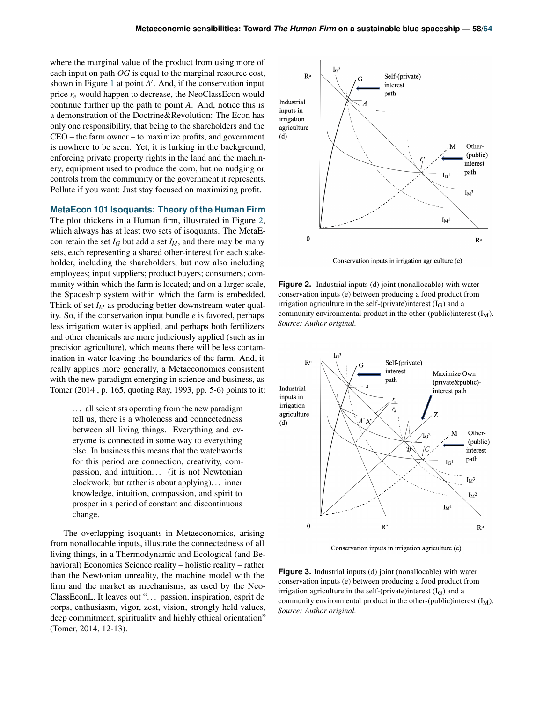where the marginal value of the product from using more of each input on path *OG* is equal to the marginal resource cost, shown in Figure [1](#page-2-0) at point A'. And, if the conservation input price  $r_e$  would happen to decrease, the NeoClassEcon would continue further up the path to point *A*. And, notice this is a demonstration of the Doctrine&Revolution: The Econ has only one responsibility, that being to the shareholders and the CEO – the farm owner – to maximize profits, and government is nowhere to be seen. Yet, it is lurking in the background, enforcing private property rights in the land and the machinery, equipment used to produce the corn, but no nudging or controls from the community or the government it represents. Pollute if you want: Just stay focused on maximizing profit.

#### **MetaEcon 101 Isoquants: Theory of the Human Firm**

The plot thickens in a Human firm, illustrated in Figure [2,](#page-3-0) which always has at least two sets of isoquants. The MetaEcon retain the set  $I_G$  but add a set  $I_M$ , and there may be many sets, each representing a shared other-interest for each stakeholder, including the shareholders, but now also including employees; input suppliers; product buyers; consumers; community within which the farm is located; and on a larger scale, the Spaceship system within which the farm is embedded. Think of set *I<sup>M</sup>* as producing better downstream water quality. So, if the conservation input bundle *e* is favored, perhaps less irrigation water is applied, and perhaps both fertilizers and other chemicals are more judiciously applied (such as in precision agriculture), which means there will be less contamination in water leaving the boundaries of the farm. And, it really applies more generally, a Metaeconomics consistent with the new paradigm emerging in science and business, as Tomer (2014 , p. 165, quoting Ray, 1993, pp. 5-6) points to it:

> ... all scientists operating from the new paradigm tell us, there is a wholeness and connectedness between all living things. Everything and everyone is connected in some way to everything else. In business this means that the watchwords for this period are connection, creativity, compassion, and intuition... (it is not Newtonian clockwork, but rather is about applying). . . inner knowledge, intuition, compassion, and spirit to prosper in a period of constant and discontinuous change.

The overlapping isoquants in Metaeconomics, arising from nonallocable inputs, illustrate the connectedness of all living things, in a Thermodynamic and Ecological (and Behavioral) Economics Science reality – holistic reality – rather than the Newtonian unreality, the machine model with the firm and the market as mechanisms, as used by the Neo-ClassEconL. It leaves out ". . . passion, inspiration, esprit de corps, enthusiasm, vigor, zest, vision, strongly held values, deep commitment, spirituality and highly ethical orientation" (Tomer, 2014, 12-13).

<span id="page-3-0"></span>

Conservation inputs in irrigation agriculture (e)



<span id="page-3-1"></span>

Conservation inputs in irrigation agriculture (e)

**Figure 3.** Industrial inputs (d) joint (nonallocable) with water conservation inputs (e) between producing a food product from irrigation agriculture in the self-(private)interest  $(I_G)$  and a community environmental product in the other-(public)interest  $(I_M)$ . *Source: Author original.*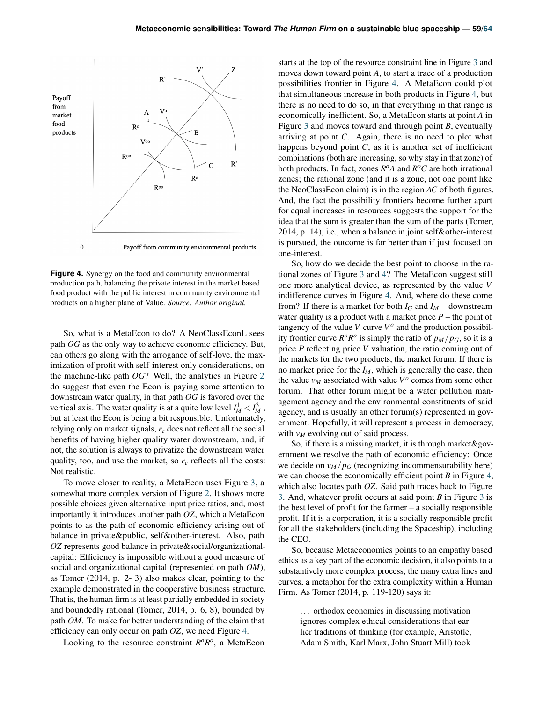<span id="page-4-0"></span>

**Figure 4.** Synergy on the food and community environmental production path, balancing the private interest in the market based food product with the public interest in community environmental products on a higher plane of Value. *Source: Author original.*

So, what is a MetaEcon to do? A NeoClassEconL sees path *OG* as the only way to achieve economic efficiency. But, can others go along with the arrogance of self-love, the maximization of profit with self-interest only considerations, on the machine-like path *OG*? Well, the analytics in Figure [2](#page-3-0) do suggest that even the Econ is paying some attention to downstream water quality, in that path *OG* is favored over the vertical axis. The water quality is at a quite low level  $I_M^1 < I_M^3$ , but at least the Econ is being a bit responsible. Unfortunately, relying only on market signals, *r<sup>e</sup>* does not reflect all the social benefits of having higher quality water downstream, and, if not, the solution is always to privatize the downstream water quality, too, and use the market, so *r<sup>e</sup>* reflects all the costs: Not realistic.

To move closer to reality, a MetaEcon uses Figure [3,](#page-3-1) a somewhat more complex version of Figure [2.](#page-3-0) It shows more possible choices given alternative input price ratios, and, most importantly it introduces another path *OZ*, which a MetaEcon points to as the path of economic efficiency arising out of balance in private&public, self&other-interest. Also, path *OZ* represents good balance in private&social/organizationalcapital: Efficiency is impossible without a good measure of social and organizational capital (represented on path *OM*), as Tomer (2014, p. 2- 3) also makes clear, pointing to the example demonstrated in the cooperative business structure. That is, the human firm is at least partially embedded in society and boundedly rational (Tomer, 2014, p. 6, 8), bounded by path *OM*. To make for better understanding of the claim that efficiency can only occur on path *OZ*, we need Figure [4.](#page-4-0)

Looking to the resource constraint  $R^{\circ}R^{\circ}$ , a MetaEcon

starts at the top of the resource constraint line in Figure [3](#page-3-1) and moves down toward point *A*, to start a trace of a production possibilities frontier in Figure [4.](#page-4-0) A MetaEcon could plot that simultaneous increase in both products in Figure [4,](#page-4-0) but there is no need to do so, in that everything in that range is economically inefficient. So, a MetaEcon starts at point *A* in Figure [3](#page-3-1) and moves toward and through point *B*, eventually arriving at point *C*. Again, there is no need to plot what happens beyond point *C*, as it is another set of inefficient combinations (both are increasing, so why stay in that zone) of both products. In fact, zones  $R^oA$  and  $R^oC$  are both irrational zones; the rational zone (and it is a zone, not one point like the NeoClassEcon claim) is in the region *AC* of both figures. And, the fact the possibility frontiers become further apart for equal increases in resources suggests the support for the idea that the sum is greater than the sum of the parts (Tomer, 2014, p. 14), i.e., when a balance in joint self&other-interest is pursued, the outcome is far better than if just focused on one-interest.

So, how do we decide the best point to choose in the rational zones of Figure [3](#page-3-1) and [4?](#page-4-0) The MetaEcon suggest still one more analytical device, as represented by the value *V* indifference curves in Figure [4.](#page-4-0) And, where do these come from? If there is a market for both  $I_G$  and  $I_M$  – downstream water quality is a product with a market price  $P$  – the point of tangency of the value  $V$  curve  $V^{\circ}$  and the production possibility frontier curve  $R^o R^o$  is simply the ratio of  $p_M/p_G$ , so it is a price *P* reflecting price *V* valuation, the ratio coming out of the markets for the two products, the market forum. If there is no market price for the *IM*, which is generally the case, then the value  $v_M$  associated with value  $V^o$  comes from some other forum. That other forum might be a water pollution management agency and the environmental constituents of said agency, and is usually an other forum(s) represented in government. Hopefully, it will represent a process in democracy, with  $v_M$  evolving out of said process.

So, if there is a missing market, it is through market&government we resolve the path of economic efficiency: Once we decide on  $v_M/p_G$  (recognizing incommensurability here) we can choose the economically efficient point *B* in Figure [4,](#page-4-0) which also locates path *OZ*. Said path traces back to Figure [3.](#page-3-1) And, whatever profit occurs at said point *B* in Figure [3](#page-3-1) is the best level of profit for the farmer – a socially responsible profit. If it is a corporation, it is a socially responsible profit for all the stakeholders (including the Spaceship), including the CEO.

So, because Metaeconomics points to an empathy based ethics as a key part of the economic decision, it also points to a substantively more complex process, the many extra lines and curves, a metaphor for the extra complexity within a Human Firm. As Tomer (2014, p. 119-120) says it:

> . . . orthodox economics in discussing motivation ignores complex ethical considerations that earlier traditions of thinking (for example, Aristotle, Adam Smith, Karl Marx, John Stuart Mill) took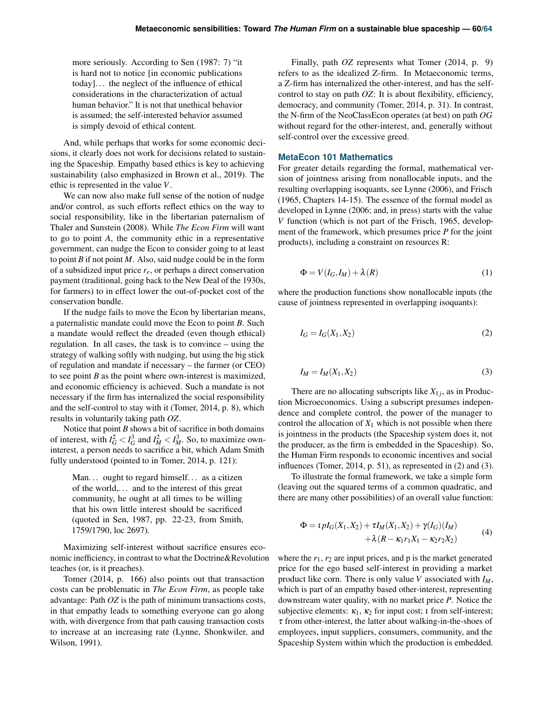more seriously. According to Sen (1987: 7) "it is hard not to notice [in economic publications today]. . . the neglect of the influence of ethical considerations in the characterization of actual human behavior." It is not that unethical behavior is assumed; the self-interested behavior assumed is simply devoid of ethical content.

And, while perhaps that works for some economic decisions, it clearly does not work for decisions related to sustaining the Spaceship. Empathy based ethics is key to achieving sustainability (also emphasized in Brown et al., 2019). The ethic is represented in the value *V*.

We can now also make full sense of the notion of nudge and/or control, as such efforts reflect ethics on the way to social responsibility, like in the libertarian paternalism of Thaler and Sunstein (2008). While *The Econ Firm* will want to go to point *A*, the community ethic in a representative government, can nudge the Econ to consider going to at least to point *B* if not point *M*. Also, said nudge could be in the form of a subsidized input price *re*, or perhaps a direct conservation payment (traditional, going back to the New Deal of the 1930s, for farmers) to in effect lower the out-of-pocket cost of the conservation bundle.

If the nudge fails to move the Econ by libertarian means, a paternalistic mandate could move the Econ to point *B*. Such a mandate would reflect the dreaded (even though ethical) regulation. In all cases, the task is to convince – using the strategy of walking softly with nudging, but using the big stick of regulation and mandate if necessary – the farmer (or CEO) to see point *B* as the point where own-interest is maximized, and economic efficiency is achieved. Such a mandate is not necessary if the firm has internalized the social responsibility and the self-control to stay with it (Tomer, 2014, p. 8), which results in voluntarily taking path *OZ*.

Notice that point *B* shows a bit of sacrifice in both domains of interest, with  $I_G^2 < I_G^3$  and  $I_M^2 < I_M^3$ . So, to maximize owninterest, a person needs to sacrifice a bit, which Adam Smith fully understood (pointed to in Tomer, 2014, p. 121):

> Man... ought to regard himself... as a citizen of the world,. . . and to the interest of this great community, he ought at all times to be willing that his own little interest should be sacrificed (quoted in Sen, 1987, pp. 22-23, from Smith, 1759/1790, loc 2697).

Maximizing self-interest without sacrifice ensures economic inefficiency, in contrast to what the Doctrine&Revolution teaches (or, is it preaches).

Tomer (2014, p. 166) also points out that transaction costs can be problematic in *The Econ Firm*, as people take advantage: Path *OZ* is the path of minimum transactions costs, in that empathy leads to something everyone can go along with, with divergence from that path causing transaction costs to increase at an increasing rate (Lynne, Shonkwiler, and Wilson, 1991).

Finally, path *OZ* represents what Tomer (2014, p. 9) refers to as the idealized Z-firm. In Metaeconomic terms, a Z-firm has internalized the other-interest, and has the selfcontrol to stay on path *OZ*: It is about flexibility, efficiency, democracy, and community (Tomer, 2014, p. 31). In contrast, the N-firm of the NeoClassEcon operates (at best) on path *OG* without regard for the other-interest, and, generally without self-control over the excessive greed.

#### **MetaEcon 101 Mathematics**

For greater details regarding the formal, mathematical version of jointness arising from nonallocable inputs, and the resulting overlapping isoquants, see Lynne (2006), and Frisch (1965, Chapters 14-15). The essence of the formal model as developed in Lynne (2006; and, in press) starts with the value *V* function (which is not part of the Frisch, 1965, development of the framework, which presumes price *P* for the joint products), including a constraint on resources R:

$$
\Phi = V(I_G, I_M) + \lambda(R) \tag{1}
$$

where the production functions show nonallocable inputs (the cause of jointness represented in overlapping isoquants):

$$
I_G = I_G(X_1, X_2) \tag{2}
$$

$$
I_M = I_M(X_1, X_2) \tag{3}
$$

There are no allocating subscripts like  $X_{1j}$ , as in Production Microeconomics. Using a subscript presumes independence and complete control, the power of the manager to control the allocation of  $X_1$  which is not possible when there is jointness in the products (the Spaceship system does it, not the producer, as the firm is embedded in the Spaceship). So, the Human Firm responds to economic incentives and social influences (Tomer, 2014, p. 51), as represented in (2) and (3).

To illustrate the formal framework, we take a simple form (leaving out the squared terms of a common quadratic, and there are many other possibilities) of an overall value function:

$$
\Phi = \iota p I_G(X_1, X_2) + \tau I_M(X_1, X_2) + \gamma (I_G)(I_M) + \lambda (R - \kappa_1 r_1 X_1 - \kappa_2 r_2 X_2)
$$
 (4)

where the  $r_1$ ,  $r_2$  are input prices, and p is the market generated price for the ego based self-interest in providing a market product like corn. There is only value *V* associated with *IM*, which is part of an empathy based other-interest, representing downstream water quality, with no market price *P*. Notice the subjective elements:  $\kappa_1$ ,  $\kappa_2$  for input cost; *t* from self-interest;  $\tau$  from other-interest, the latter about walking-in-the-shoes of employees, input suppliers, consumers, community, and the Spaceship System within which the production is embedded.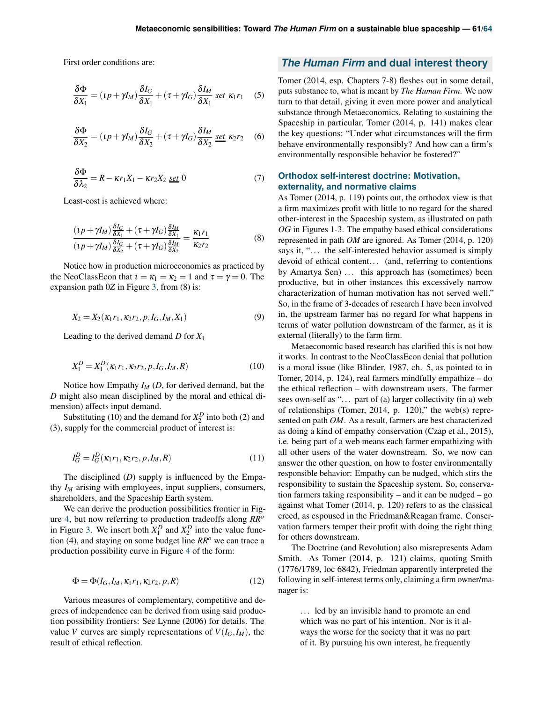First order conditions are:

$$
\frac{\delta \Phi}{\delta X_1} = (\iota p + \gamma I_M) \frac{\delta I_G}{\delta X_1} + (\tau + \gamma I_G) \frac{\delta I_M}{\delta X_1} \underline{\text{ set }} \kappa_1 r_1 \quad (5)
$$

$$
\frac{\delta\Phi}{\delta X_2} = (\iota p + \gamma I_M) \frac{\delta I_G}{\delta X_2} + (\tau + \gamma I_G) \frac{\delta I_M}{\delta X_2} \underline{\text{ set }} \kappa_2 r_2 \quad (6)
$$

$$
\frac{\delta \Phi}{\delta \lambda_2} = R - \kappa r_1 X_1 - \kappa r_2 X_2 \underbrace{\text{set}} 0 \tag{7}
$$

Least-cost is achieved where:

$$
\frac{(i p + \gamma I_M) \frac{\delta I_G}{\delta X_1} + (\tau + \gamma I_G) \frac{\delta I_M}{\delta X_1}}{(i p + \gamma I_M) \frac{\delta I_G}{\delta X_2} + (\tau + \gamma I_G) \frac{\delta I_M}{\delta X_2}} = \frac{\kappa_1 r_1}{\kappa_2 r_2}
$$
(8)

Notice how in production microeconomics as practiced by the NeoClassEcon that  $\iota = \kappa_1 = \kappa_2 = 1$  and  $\tau = \gamma = 0$ . The expansion path 0*Z* in Figure [3,](#page-3-1) from (8) is:

$$
X_2 = X_2(\kappa_1 r_1, \kappa_2 r_2, p, I_G, I_M, X_1)
$$
\n(9)

Leading to the derived demand *D* for *X*<sup>1</sup>

$$
X_1^D = X_1^D(\kappa_1 r_1, \kappa_2 r_2, p, I_G, I_M, R) \tag{10}
$$

Notice how Empathy *I<sup>M</sup>* (*D*, for derived demand, but the *D* might also mean disciplined by the moral and ethical dimension) affects input demand.

Substituting (10) and the demand for  $X_2^D$  into both (2) and (3), supply for the commercial product of interest is:

$$
I_G^D = I_G^D(\kappa_1 r_1, \kappa_2 r_2, p, I_M, R) \tag{11}
$$

The disciplined (*D*) supply is influenced by the Empathy *I<sup>M</sup>* arising with employees, input suppliers, consumers, shareholders, and the Spaceship Earth system.

We can derive the production possibilities frontier in Figure [4,](#page-4-0) but now referring to production tradeoffs along *RR<sup>o</sup>* in Figure [3.](#page-3-1) We insert both  $X_1^D$  and  $X_2^D$  into the value function (4), and staying on some budget line *RR<sup>o</sup>* we can trace a production possibility curve in Figure [4](#page-4-0) of the form:

$$
\Phi = \Phi(I_G, I_M, \kappa_1 r_1, \kappa_2 r_2, p, R) \tag{12}
$$

Various measures of complementary, competitive and degrees of independence can be derived from using said production possibility frontiers: See Lynne (2006) for details. The value *V* curves are simply representations of  $V(I_G, I_M)$ , the result of ethical reflection.

# *The Human Firm* **and dual interest theory**

Tomer (2014, esp. Chapters 7-8) fleshes out in some detail, puts substance to, what is meant by *The Human Firm*. We now turn to that detail, giving it even more power and analytical substance through Metaeconomics. Relating to sustaining the Spaceship in particular, Tomer (2014, p. 141) makes clear the key questions: "Under what circumstances will the firm behave environmentally responsibly? And how can a firm's environmentally responsible behavior be fostered?"

### **Orthodox self-interest doctrine: Motivation, externality, and normative claims**

As Tomer (2014, p. 119) points out, the orthodox view is that a firm maximizes profit with little to no regard for the shared other-interest in the Spaceship system, as illustrated on path *OG* in Figures 1-3. The empathy based ethical considerations represented in path *OM* are ignored. As Tomer (2014, p. 120) says it, "... the self-interested behavior assumed is simply devoid of ethical content... (and, referring to contentions by Amartya Sen) ... this approach has (sometimes) been productive, but in other instances this excessively narrow characterization of human motivation has not served well." So, in the frame of 3-decades of research I have been involved in, the upstream farmer has no regard for what happens in terms of water pollution downstream of the farmer, as it is external (literally) to the farm firm.

Metaeconomic based research has clarified this is not how it works. In contrast to the NeoClassEcon denial that pollution is a moral issue (like Blinder, 1987, ch. 5, as pointed to in Tomer, 2014, p. 124), real farmers mindfully empathize – do the ethical reflection – with downstream users. The farmer sees own-self as "... part of (a) larger collectivity (in a) web of relationships (Tomer, 2014, p. 120)," the web(s) represented on path *OM*. As a result, farmers are best characterized as doing a kind of empathy conservation (Czap et al., 2015), i.e. being part of a web means each farmer empathizing with all other users of the water downstream. So, we now can answer the other question, on how to foster environmentally responsible behavior: Empathy can be nudged, which stirs the responsibility to sustain the Spaceship system. So, conservation farmers taking responsibility – and it can be nudged – go against what Tomer (2014, p. 120) refers to as the classical creed, as espoused in the Friedman&Reagan frame. Conservation farmers temper their profit with doing the right thing for others downstream.

The Doctrine (and Revolution) also misrepresents Adam Smith. As Tomer (2014, p. 121) claims, quoting Smith (1776/1789, loc 6842), Friedman apparently interpreted the following in self-interest terms only, claiming a firm owner/manager is:

> ... led by an invisible hand to promote an end which was no part of his intention. Nor is it always the worse for the society that it was no part of it. By pursuing his own interest, he frequently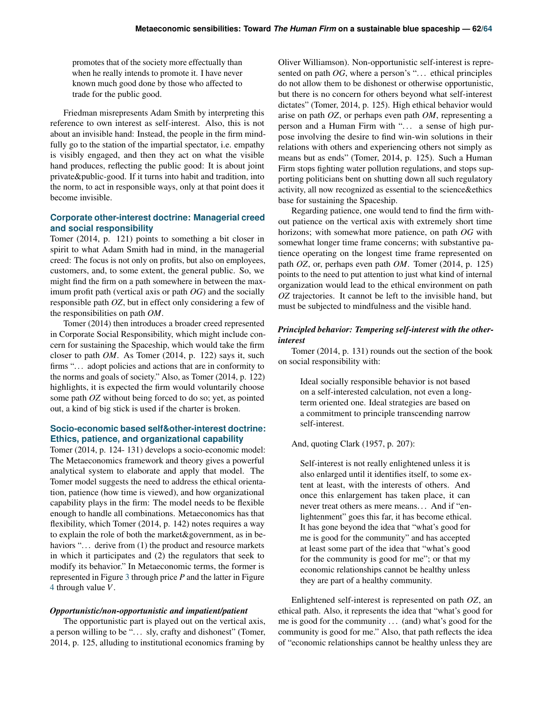promotes that of the society more effectually than when he really intends to promote it. I have never known much good done by those who affected to trade for the public good.

Friedman misrepresents Adam Smith by interpreting this reference to own interest as self-interest. Also, this is not about an invisible hand: Instead, the people in the firm mindfully go to the station of the impartial spectator, i.e. empathy is visibly engaged, and then they act on what the visible hand produces, reflecting the public good: It is about joint private&public-good. If it turns into habit and tradition, into the norm, to act in responsible ways, only at that point does it become invisible.

### **Corporate other-interest doctrine: Managerial creed and social responsibility**

Tomer (2014, p. 121) points to something a bit closer in spirit to what Adam Smith had in mind, in the managerial creed: The focus is not only on profits, but also on employees, customers, and, to some extent, the general public. So, we might find the firm on a path somewhere in between the maximum profit path (vertical axis or path *OG*) and the socially responsible path *OZ*, but in effect only considering a few of the responsibilities on path *OM*.

Tomer (2014) then introduces a broader creed represented in Corporate Social Responsibility, which might include concern for sustaining the Spaceship, which would take the firm closer to path *OM*. As Tomer (2014, p. 122) says it, such firms "... adopt policies and actions that are in conformity to the norms and goals of society." Also, as Tomer (2014, p. 122) highlights, it is expected the firm would voluntarily choose some path *OZ* without being forced to do so; yet, as pointed out, a kind of big stick is used if the charter is broken.

### **Socio-economic based self&other-interest doctrine: Ethics, patience, and organizational capability**

Tomer (2014, p. 124- 131) develops a socio-economic model: The Metaeconomics framework and theory gives a powerful analytical system to elaborate and apply that model. The Tomer model suggests the need to address the ethical orientation, patience (how time is viewed), and how organizational capability plays in the firm: The model needs to be flexible enough to handle all combinations. Metaeconomics has that flexibility, which Tomer (2014, p. 142) notes requires a way to explain the role of both the market&government, as in behaviors "... derive from (1) the product and resource markets in which it participates and (2) the regulators that seek to modify its behavior." In Metaeconomic terms, the former is represented in Figure [3](#page-3-1) through price *P* and the latter in Figure [4](#page-4-0) through value *V*.

#### *Opportunistic/non-opportunistic and impatient/patient*

The opportunistic part is played out on the vertical axis, a person willing to be "... sly, crafty and dishonest" (Tomer, 2014, p. 125, alluding to institutional economics framing by

Oliver Williamson). Non-opportunistic self-interest is represented on path *OG*, where a person's "... ethical principles do not allow them to be dishonest or otherwise opportunistic, but there is no concern for others beyond what self-interest dictates" (Tomer, 2014, p. 125). High ethical behavior would arise on path *OZ*, or perhaps even path *OM*, representing a person and a Human Firm with "... a sense of high purpose involving the desire to find win-win solutions in their relations with others and experiencing others not simply as means but as ends" (Tomer, 2014, p. 125). Such a Human Firm stops fighting water pollution regulations, and stops supporting politicians bent on shutting down all such regulatory activity, all now recognized as essential to the science&ethics base for sustaining the Spaceship.

Regarding patience, one would tend to find the firm without patience on the vertical axis with extremely short time horizons; with somewhat more patience, on path *OG* with somewhat longer time frame concerns; with substantive patience operating on the longest time frame represented on path *OZ*, or, perhaps even path *OM*. Tomer (2014, p. 125) points to the need to put attention to just what kind of internal organization would lead to the ethical environment on path *OZ* trajectories. It cannot be left to the invisible hand, but must be subjected to mindfulness and the visible hand.

#### *Principled behavior: Tempering self-interest with the otherinterest*

Tomer (2014, p. 131) rounds out the section of the book on social responsibility with:

> Ideal socially responsible behavior is not based on a self-interested calculation, not even a longterm oriented one. Ideal strategies are based on a commitment to principle transcending narrow self-interest.

And, quoting Clark (1957, p. 207):

Self-interest is not really enlightened unless it is also enlarged until it identifies itself, to some extent at least, with the interests of others. And once this enlargement has taken place, it can never treat others as mere means. . . And if "enlightenment" goes this far, it has become ethical. It has gone beyond the idea that "what's good for me is good for the community" and has accepted at least some part of the idea that "what's good for the community is good for me"; or that my economic relationships cannot be healthy unless they are part of a healthy community.

Enlightened self-interest is represented on path *OZ*, an ethical path. Also, it represents the idea that "what's good for me is good for the community . . . (and) what's good for the community is good for me." Also, that path reflects the idea of "economic relationships cannot be healthy unless they are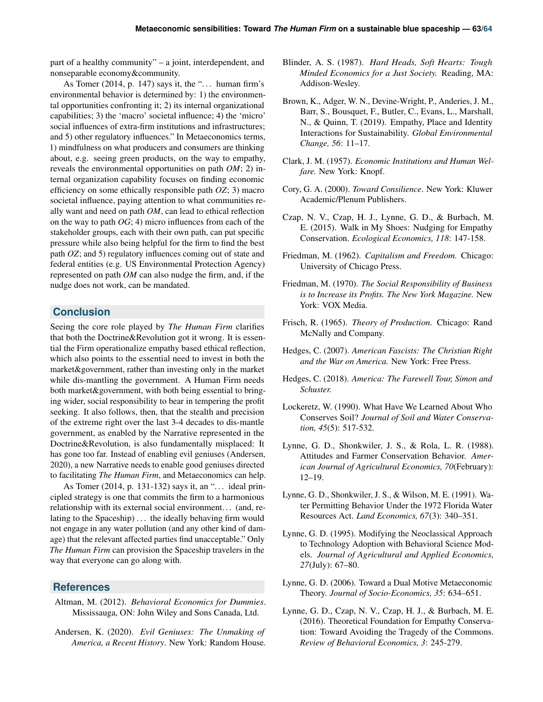part of a healthy community" – a joint, interdependent, and nonseparable economy&community.

As Tomer  $(2014, p. 147)$  says it, the "... human firm's environmental behavior is determined by: 1) the environmental opportunities confronting it; 2) its internal organizational capabilities; 3) the 'macro' societal influence; 4) the 'micro' social influences of extra-firm institutions and infrastructures; and 5) other regulatory influences." In Metaeconomics terms, 1) mindfulness on what producers and consumers are thinking about, e.g. seeing green products, on the way to empathy, reveals the environmental opportunities on path *OM*; 2) internal organization capability focuses on finding economic efficiency on some ethically responsible path *OZ*; 3) macro societal influence, paying attention to what communities really want and need on path *OM*, can lead to ethical reflection on the way to path *OG*; 4) micro influences from each of the stakeholder groups, each with their own path, can put specific pressure while also being helpful for the firm to find the best path *OZ*; and 5) regulatory influences coming out of state and federal entities (e.g. US Environmental Protection Agency) represented on path *OM* can also nudge the firm, and, if the nudge does not work, can be mandated.

# **Conclusion**

Seeing the core role played by *The Human Firm* clarifies that both the Doctrine&Revolution got it wrong. It is essential the Firm operationalize empathy based ethical reflection, which also points to the essential need to invest in both the market&government, rather than investing only in the market while dis-mantling the government. A Human Firm needs both market&government, with both being essential to bringing wider, social responsibility to bear in tempering the profit seeking. It also follows, then, that the stealth and precision of the extreme right over the last 3-4 decades to dis-mantle government, as enabled by the Narrative represented in the Doctrine&Revolution, is also fundamentally misplaced: It has gone too far. Instead of enabling evil geniuses (Andersen, 2020), a new Narrative needs to enable good geniuses directed to facilitating *The Human Firm*, and Metaeconomics can help.

As Tomer (2014, p. 131-132) says it, an "... ideal principled strategy is one that commits the firm to a harmonious relationship with its external social environment. . . (and, relating to the Spaceship)... the ideally behaving firm would not engage in any water pollution (and any other kind of damage) that the relevant affected parties find unacceptable." Only *The Human Firm* can provision the Spaceship travelers in the way that everyone can go along with.

### **References**

- Altman, M. (2012). *Behavioral Economics for Dummies*. Mississauga, ON: John Wiley and Sons Canada, Ltd.
- Andersen, K. (2020). *Evil Geniuses: The Unmaking of America, a Recent History*. New York: Random House.
- Blinder, A. S. (1987). *Hard Heads, Soft Hearts: Tough Minded Economics for a Just Society.* Reading, MA: Addison-Wesley.
- Brown, K., Adger, W. N., Devine-Wright, P., Anderies, J. M., Barr, S., Bousquet, F., Butler, C., Evans, L., Marshall, N., & Quinn, T. (2019). Empathy, Place and Identity Interactions for Sustainability. *Global Environmental Change, 56*: 11–17.
- Clark, J. M. (1957). *Economic Institutions and Human Welfare.* New York: Knopf.
- Cory, G. A. (2000). *Toward Consilience*. New York: Kluwer Academic/Plenum Publishers.
- Czap, N. V., Czap, H. J., Lynne, G. D., & Burbach, M. E. (2015). Walk in My Shoes: Nudging for Empathy Conservation. *Ecological Economics, 118*: 147-158.
- Friedman, M. (1962). *Capitalism and Freedom.* Chicago: University of Chicago Press.
- Friedman, M. (1970). *The Social Responsibility of Business is to Increase its Profits. The New York Magazine.* New York: VOX Media.
- Frisch, R. (1965). *Theory of Production.* Chicago: Rand McNally and Company.
- Hedges, C. (2007). *American Fascists: The Christian Right and the War on America.* New York: Free Press.
- Hedges, C. (2018). *America: The Farewell Tour, Simon and Schuster.*
- Lockeretz, W. (1990). What Have We Learned About Who Conserves Soil? *Journal of Soil and Water Conservation, 45*(5): 517-532.
- Lynne, G. D., Shonkwiler, J. S., & Rola, L. R. (1988). Attitudes and Farmer Conservation Behavior. *American Journal of Agricultural Economics, 70*(February): 12–19.
- Lynne, G. D., Shonkwiler, J. S., & Wilson, M. E. (1991). Water Permitting Behavior Under the 1972 Florida Water Resources Act. *Land Economics, 67*(3): 340–351.
- Lynne, G. D. (1995). Modifying the Neoclassical Approach to Technology Adoption with Behavioral Science Models. *Journal of Agricultural and Applied Economics, 27*(July): 67–80.
- Lynne, G. D. (2006). Toward a Dual Motive Metaeconomic Theory. *Journal of Socio-Economics, 35*: 634–651.
- Lynne, G. D., Czap, N. V., Czap, H. J., & Burbach, M. E. (2016). Theoretical Foundation for Empathy Conservation: Toward Avoiding the Tragedy of the Commons. *Review of Behavioral Economics, 3*: 245-279.